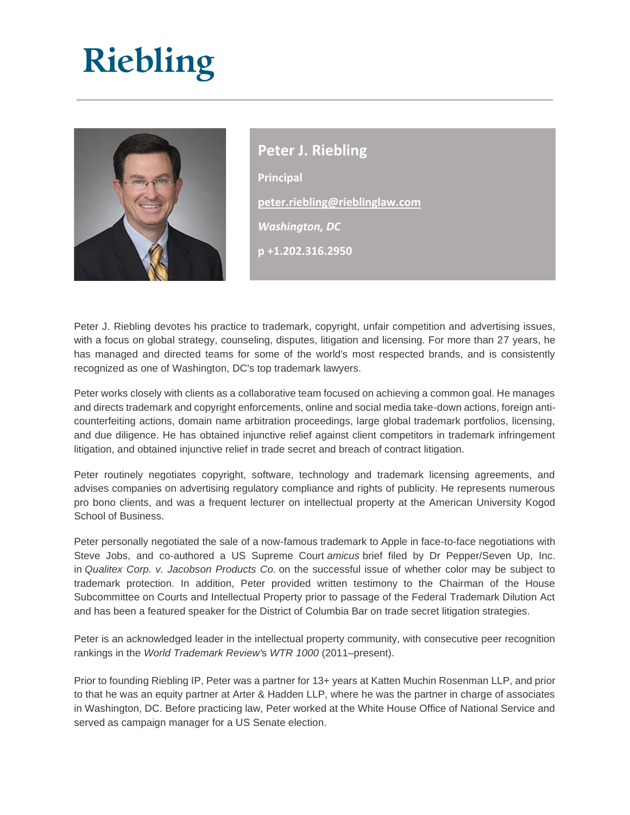

**Peter J. Riebling Principal [peter.riebling@rieblinglaw.com](mailto:peter.riebling@rieblinglaw.com)** *Washington, DC* **p +1.202.316.2950**

Peter J. Riebling devotes his practice to trademark, copyright, unfair competition and advertising issues, with a focus on global strategy, counseling, disputes, litigation and licensing. For more than 27 years, he has managed and directed teams for some of the world's most respected brands, and is consistently recognized as one of Washington, DC's top trademark lawyers.

Peter works closely with clients as a collaborative team focused on achieving a common goal. He manages and directs trademark and copyright enforcements, online and social media take-down actions, foreign anticounterfeiting actions, domain name arbitration proceedings, large global trademark portfolios, licensing, and due diligence. He has obtained injunctive relief against client competitors in trademark infringement litigation, and obtained injunctive relief in trade secret and breach of contract litigation.

Peter routinely negotiates copyright, software, technology and trademark licensing agreements, and advises companies on advertising regulatory compliance and rights of publicity. He represents numerous pro bono clients, and was a frequent lecturer on intellectual property at the American University Kogod School of Business.

Peter personally negotiated the sale of a now-famous trademark to Apple in face-to-face negotiations with Steve Jobs, and co-authored a US Supreme Court *amicus* brief filed by Dr Pepper/Seven Up, Inc. in *Qualitex Corp. v. Jacobson Products Co.* on the successful issue of whether color may be subject to trademark protection. In addition, Peter provided written testimony to the Chairman of the House Subcommittee on Courts and Intellectual Property prior to passage of the Federal Trademark Dilution Act and has been a featured speaker for the District of Columbia Bar on trade secret litigation strategies.

Peter is an acknowledged leader in the intellectual property community, with consecutive peer recognition rankings in the *World Trademark Review'*s *WTR 1000* (2011–present).

Prior to founding Riebling IP, Peter was a partner for 13+ years at Katten Muchin Rosenman LLP, and prior to that he was an equity partner at Arter & Hadden LLP, where he was the partner in charge of associates in Washington, DC. Before practicing law, Peter worked at the White House Office of National Service and served as campaign manager for a US Senate election.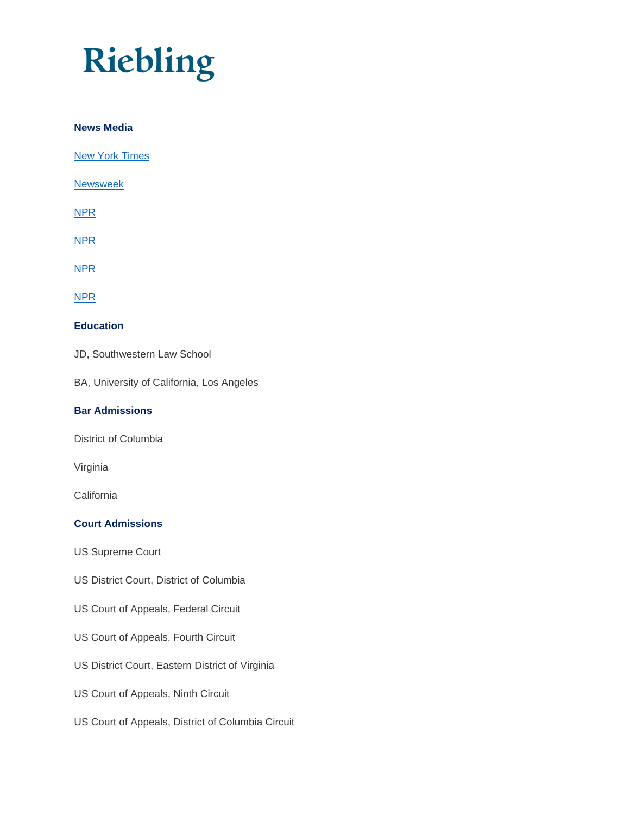### **News Media**

[New York Times](https://www.nytimes.com/2017/04/11/us/politics/trump-trademark-ethics.html?mtrref=www.google.com&gwh=D9C1E6BB073DD49A66393716FB5AD104&gwt=pay)

[Newsweek](http://www.newsweek.com/robert-reich-why-are-taxpayers-funding-trumps-legal-defense-583419)

[NPR](https://www.npr.org/sections/thetwo-way/2017/04/19/524765086/china-defends-trademark-grants-for-ivanka-trump-products)

[NPR](https://www.npr.org/2017/04/20/524936051/ivankas-brand-thrives-raising-conflict-questions-as-she-takes-on-white-house-rol)

[NPR](https://www.npr.org/2017/04/24/525359214/trumps-first-100-days-foreign-interests)

[NPR](https://www.npr.org/2017/04/27/525749738/questions-linger-about-trumps-foreign-business-ties-and-the-emoluments-clause)

## **Education**

JD, Southwestern Law School

BA, University of California, Los Angeles

### **Bar Admissions**

District of Columbia

Virginia

**California** 

## **Court Admissions**

US Supreme Court

US District Court, District of Columbia

- US Court of Appeals, Federal Circuit
- US Court of Appeals, Fourth Circuit
- US District Court, Eastern District of Virginia
- US Court of Appeals, Ninth Circuit
- US Court of Appeals, District of Columbia Circuit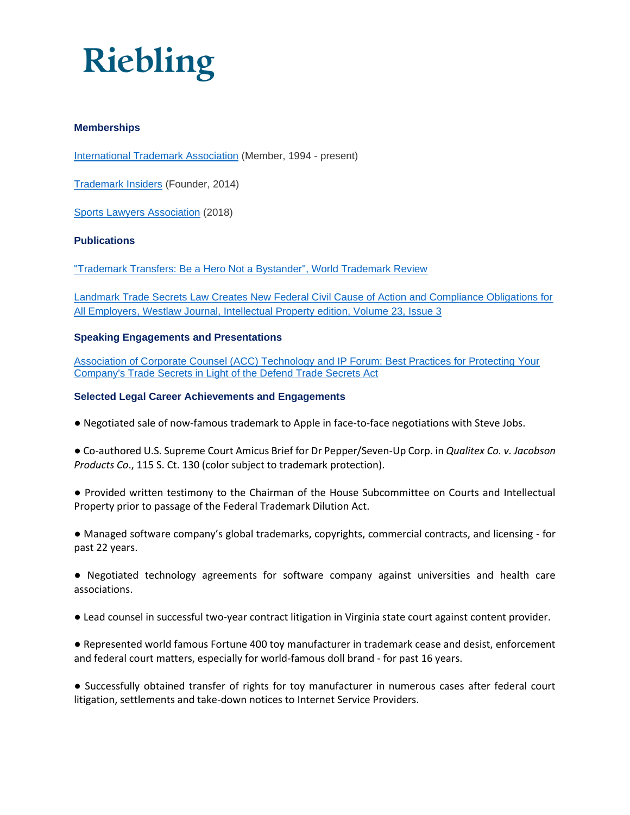

### **Memberships**

[International Trademark Association](http://www.inta.org/) (Member, 1994 - present)

[Trademark Insiders](http://www.linkedin.com/groups/5119969) (Founder, 2014)

[Sports Lawyers Association](https://www.sportslaw.org/) (2018)

### **Publications**

["Trademark Transfers: Be a Hero Not a Bystander", World Trademark Review](http://www.kattenlaw.com/files/21902_Trademark%20Transfers%202012.pdf)

[Landmark Trade Secrets Law Creates New Federal Civil Cause of Action and Compliance Obligations for](http://www.kattenlaw.com/Files/154513_WLJ_Commentary_Katten%20Muchin%20Rosenman.pdf)  [All Employers, Westlaw Journal, Intellectual Property edition, Volume 23, Issue 3](http://www.kattenlaw.com/Files/154513_WLJ_Commentary_Katten%20Muchin%20Rosenman.pdf)

#### **Speaking Engagements and Presentations**

[Association of Corporate Counsel \(ACC\) Technology and IP Forum: Best Practices for Protecting Your](http://www.acc.com/chapters/ncr/index.cfm?eventID=18908)  [Company's Trade Secrets in Light of the Defend Trade Secrets Act](http://www.acc.com/chapters/ncr/index.cfm?eventID=18908) 

#### **Selected Legal Career Achievements and Engagements**

● Negotiated sale of now-famous trademark to Apple in face-to-face negotiations with Steve Jobs.

● Co-authored U.S. Supreme Court Amicus Brief for Dr Pepper/Seven-Up Corp. in *Qualitex Co. v. Jacobson Products Co*., 115 S. Ct. 130 (color subject to trademark protection).

● Provided written testimony to the Chairman of the House Subcommittee on Courts and Intellectual Property prior to passage of the Federal Trademark Dilution Act.

● Managed software company's global trademarks, copyrights, commercial contracts, and licensing - for past 22 years.

● Negotiated technology agreements for software company against universities and health care associations.

● Lead counsel in successful two-year contract litigation in Virginia state court against content provider.

● Represented world famous Fortune 400 toy manufacturer in trademark cease and desist, enforcement and federal court matters, especially for world-famous doll brand - for past 16 years.

● Successfully obtained transfer of rights for toy manufacturer in numerous cases after federal court litigation, settlements and take-down notices to Internet Service Providers.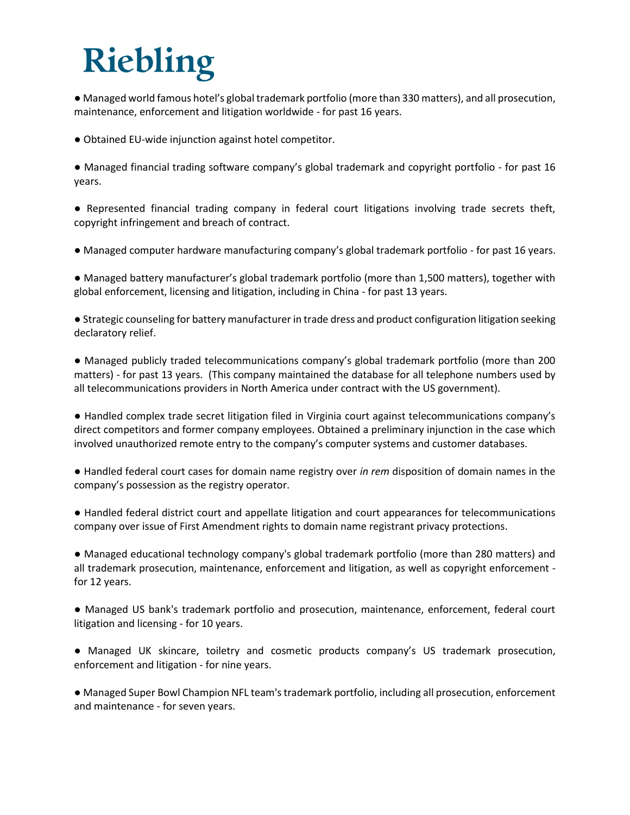● Managed world famous hotel's global trademark portfolio (more than 330 matters), and all prosecution, maintenance, enforcement and litigation worldwide - for past 16 years.

- Obtained EU-wide injunction against hotel competitor.
- Managed financial trading software company's global trademark and copyright portfolio for past 16 years.

● Represented financial trading company in federal court litigations involving trade secrets theft, copyright infringement and breach of contract.

● Managed computer hardware manufacturing company's global trademark portfolio - for past 16 years.

● Managed battery manufacturer's global trademark portfolio (more than 1,500 matters), together with global enforcement, licensing and litigation, including in China - for past 13 years.

● Strategic counseling for battery manufacturer in trade dress and product configuration litigation seeking declaratory relief.

● Managed publicly traded telecommunications company's global trademark portfolio (more than 200 matters) - for past 13 years. (This company maintained the database for all telephone numbers used by all telecommunications providers in North America under contract with the US government).

● Handled complex trade secret litigation filed in Virginia court against telecommunications company's direct competitors and former company employees. Obtained a preliminary injunction in the case which involved unauthorized remote entry to the company's computer systems and customer databases.

● Handled federal court cases for domain name registry over *in rem* disposition of domain names in the company's possession as the registry operator.

● Handled federal district court and appellate litigation and court appearances for telecommunications company over issue of First Amendment rights to domain name registrant privacy protections.

● Managed educational technology company's global trademark portfolio (more than 280 matters) and all trademark prosecution, maintenance, enforcement and litigation, as well as copyright enforcement for 12 years.

● Managed US bank's trademark portfolio and prosecution, maintenance, enforcement, federal court litigation and licensing - for 10 years.

● Managed UK skincare, toiletry and cosmetic products company's US trademark prosecution, enforcement and litigation - for nine years.

● Managed Super Bowl Champion NFL team's trademark portfolio, including all prosecution, enforcement and maintenance - for seven years.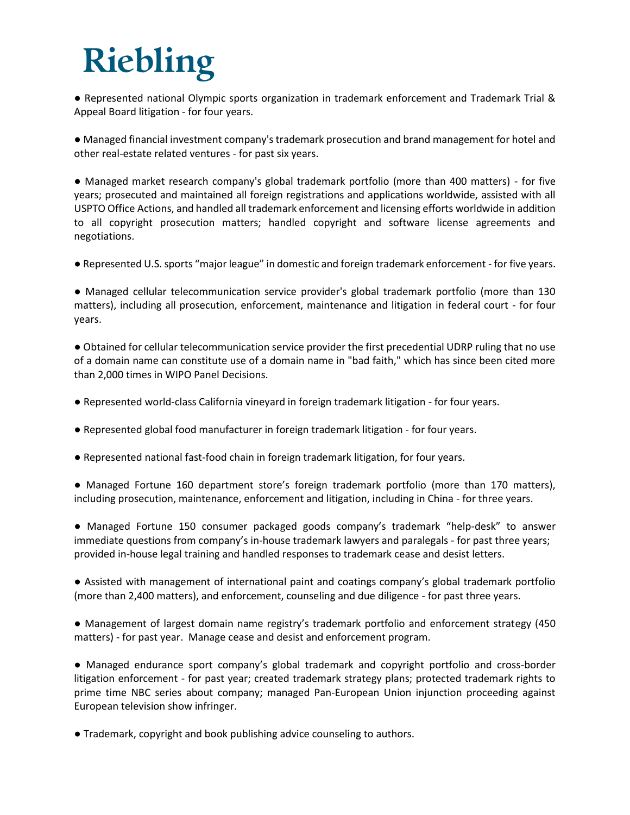● Represented national Olympic sports organization in trademark enforcement and Trademark Trial & Appeal Board litigation - for four years.

● Managed financial investment company's trademark prosecution and brand management for hotel and other real-estate related ventures - for past six years.

● Managed market research company's global trademark portfolio (more than 400 matters) - for five years; prosecuted and maintained all foreign registrations and applications worldwide, assisted with all USPTO Office Actions, and handled all trademark enforcement and licensing efforts worldwide in addition to all copyright prosecution matters; handled copyright and software license agreements and negotiations.

● Represented U.S. sports "major league" in domestic and foreign trademark enforcement - for five years.

● Managed cellular telecommunication service provider's global trademark portfolio (more than 130 matters), including all prosecution, enforcement, maintenance and litigation in federal court - for four years.

● Obtained for cellular telecommunication service provider the first precedential UDRP ruling that no use of a domain name can constitute use of a domain name in "bad faith," which has since been cited more than 2,000 times in WIPO Panel Decisions.

- Represented world-class California vineyard in foreign trademark litigation for four years.
- Represented global food manufacturer in foreign trademark litigation for four years.
- Represented national fast-food chain in foreign trademark litigation, for four years.
- Managed Fortune 160 department store's foreign trademark portfolio (more than 170 matters), including prosecution, maintenance, enforcement and litigation, including in China - for three years.
- Managed Fortune 150 consumer packaged goods company's trademark "help-desk" to answer immediate questions from company's in-house trademark lawyers and paralegals - for past three years; provided in-house legal training and handled responses to trademark cease and desist letters.

● Assisted with management of international paint and coatings company's global trademark portfolio (more than 2,400 matters), and enforcement, counseling and due diligence - for past three years.

● Management of largest domain name registry's trademark portfolio and enforcement strategy (450 matters) - for past year. Manage cease and desist and enforcement program.

● Managed endurance sport company's global trademark and copyright portfolio and cross-border litigation enforcement - for past year; created trademark strategy plans; protected trademark rights to prime time NBC series about company; managed Pan-European Union injunction proceeding against European television show infringer.

● Trademark, copyright and book publishing advice counseling to authors.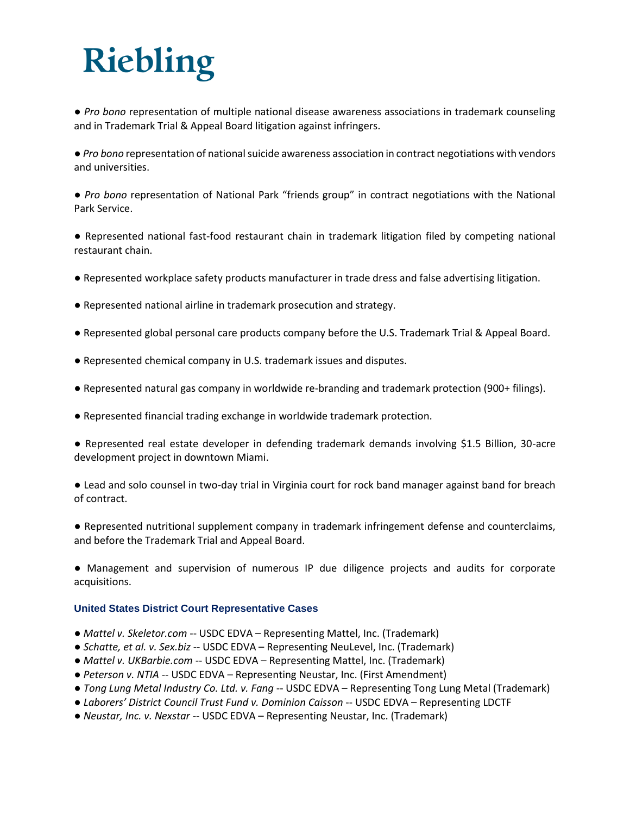● *Pro bono* representation of multiple national disease awareness associations in trademark counseling and in Trademark Trial & Appeal Board litigation against infringers.

● *Pro bono* representation of national suicide awareness association in contract negotiations with vendors and universities.

● *Pro bono* representation of National Park "friends group" in contract negotiations with the National Park Service.

● Represented national fast-food restaurant chain in trademark litigation filed by competing national restaurant chain.

- Represented workplace safety products manufacturer in trade dress and false advertising litigation.
- Represented national airline in trademark prosecution and strategy.
- Represented global personal care products company before the U.S. Trademark Trial & Appeal Board.
- Represented chemical company in U.S. trademark issues and disputes.
- Represented natural gas company in worldwide re-branding and trademark protection (900+ filings).
- Represented financial trading exchange in worldwide trademark protection.

● Represented real estate developer in defending trademark demands involving \$1.5 Billion, 30-acre development project in downtown Miami.

● Lead and solo counsel in two-day trial in Virginia court for rock band manager against band for breach of contract.

● Represented nutritional supplement company in trademark infringement defense and counterclaims, and before the Trademark Trial and Appeal Board.

● Management and supervision of numerous IP due diligence projects and audits for corporate acquisitions.

#### **United States District Court Representative Cases**

- *Mattel v. Skeletor.com* -- USDC EDVA Representing Mattel, Inc. (Trademark)
- *Schatte, et al. v. Sex.biz* -- USDC EDVA Representing NeuLevel, Inc. (Trademark)
- *Mattel v. UKBarbie.com* -- USDC EDVA Representing Mattel, Inc. (Trademark)
- *Peterson v. NTIA* -- USDC EDVA Representing Neustar, Inc. (First Amendment)
- *Tong Lung Metal Industry Co. Ltd. v. Fang* -- USDC EDVA Representing Tong Lung Metal (Trademark)
- *Laborers' District Council Trust Fund v. Dominion Caisson* -- USDC EDVA Representing LDCTF
- *Neustar, Inc. v. Nexstar* -- USDC EDVA Representing Neustar, Inc. (Trademark)